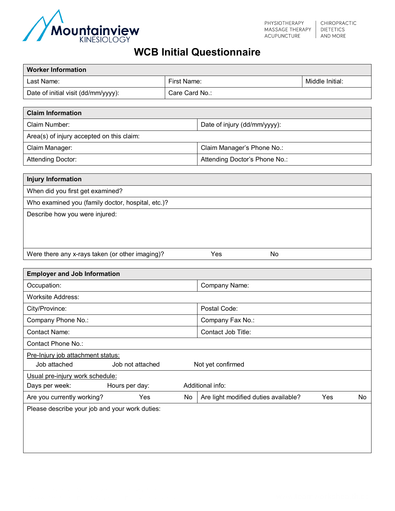

## **WCB Initial Questionnaire**

| <b>Worker Information</b>                                    |                  |                                      |                            |  |  |  |
|--------------------------------------------------------------|------------------|--------------------------------------|----------------------------|--|--|--|
| Last Name:                                                   | First Name:      |                                      | Middle Initial:            |  |  |  |
| Date of initial visit (dd/mm/yyyy):                          | Care Card No.:   |                                      |                            |  |  |  |
|                                                              |                  |                                      |                            |  |  |  |
| <b>Claim Information</b>                                     |                  |                                      |                            |  |  |  |
| Claim Number:                                                |                  | Date of injury (dd/mm/yyyy):         |                            |  |  |  |
| Area(s) of injury accepted on this claim:                    |                  |                                      |                            |  |  |  |
| Claim Manager:                                               |                  | Claim Manager's Phone No.:           |                            |  |  |  |
| Attending Doctor:                                            |                  | Attending Doctor's Phone No.:        |                            |  |  |  |
|                                                              |                  |                                      |                            |  |  |  |
| <b>Injury Information</b>                                    |                  |                                      |                            |  |  |  |
| When did you first get examined?                             |                  |                                      |                            |  |  |  |
| Who examined you (family doctor, hospital, etc.)?            |                  |                                      |                            |  |  |  |
| Describe how you were injured:                               |                  |                                      |                            |  |  |  |
|                                                              |                  |                                      |                            |  |  |  |
|                                                              |                  |                                      |                            |  |  |  |
| Were there any x-rays taken (or other imaging)?              |                  | $\Box$ Yes<br>∏No                    |                            |  |  |  |
|                                                              |                  |                                      |                            |  |  |  |
| <b>Employer and Job Information</b>                          |                  |                                      |                            |  |  |  |
| Occupation:                                                  |                  | Company Name:                        |                            |  |  |  |
| <b>Worksite Address:</b>                                     |                  |                                      |                            |  |  |  |
| City/Province:                                               |                  | Postal Code:                         |                            |  |  |  |
| Company Phone No.:                                           |                  | Company Fax No.:                     |                            |  |  |  |
| <b>Contact Name:</b>                                         |                  | Contact Job Title:                   |                            |  |  |  |
| Contact Phone No.:                                           |                  |                                      |                            |  |  |  |
| Pre-Injury job attachment status:                            |                  |                                      |                            |  |  |  |
| Job attached<br>Job not attached<br>$\Box$ Not yet confirmed |                  |                                      |                            |  |  |  |
| Usual pre-injury work schedule:                              |                  |                                      |                            |  |  |  |
| Hours per day:<br>Days per week:                             | Additional info: |                                      |                            |  |  |  |
| Are you currently working?<br>$\Box$ Yes                     | $\Box$ No        | Are light modified duties available? | $\square$ No<br>$\Box$ Yes |  |  |  |
| Please describe your job and your work duties:               |                  |                                      |                            |  |  |  |
|                                                              |                  |                                      |                            |  |  |  |
|                                                              |                  |                                      |                            |  |  |  |
|                                                              |                  |                                      |                            |  |  |  |
|                                                              |                  |                                      |                            |  |  |  |